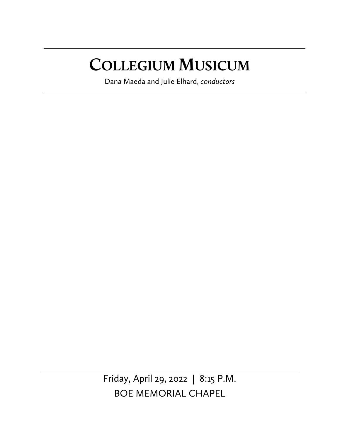# **COLLEGIUM MUSICUM**

Dana Maeda and Julie Elhard, *conductors*

Friday, April 29, 2022 | 8:15 P.M. BOE MEMORIAL CHAPEL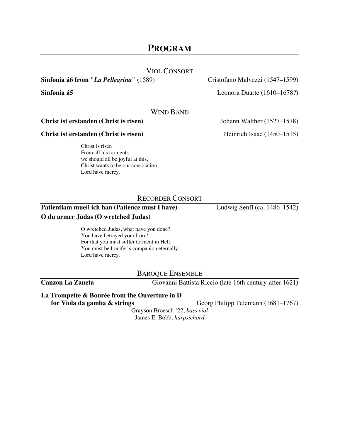# **PROGRAM**

| <b>VIOL CONSORT</b>                              |                                 |
|--------------------------------------------------|---------------------------------|
| Sinfonia á6 from " <i>La Pellegrina</i> " (1589) | Cristofano Malvezzi (1547–1599) |
| Sinfonia á5                                      | Leonora Duarte $(1610-1678?)$   |
| WIND BAND                                        |                                 |
| Christ ist erstanden (Christ is risen)           | Johann Walther (1527–1578)      |

**Christ ist erstanden (Christ is risen)** Heinrich Isaac (1450–1515)

Christ is risen From all his torments, we should all be joyful at this, Christ wants to be our consolation. Lord have mercy.

# RECORDER CONSORT

# **Patientiam mueß ich han (Patience must I have)** Ludwig Senfl (ca. 1486–1542)

### **O du armer Judas (O wretched Judas)**

O wretched Judas, what have you done? You have betrayed your Lord! For that you must suffer torment in Hell, You must be Lucifer's companion eternally. Lord have mercy.

BAROQUE ENSEMBLE

**Canzon La Zaneta** Giovanni Battista Riccio (late 16th century-after 1621)

### **La Trompette & Bourée from the Ouverture in D**

**for Viola da gamba & strings** Georg Philipp Telemann (1681–1767)

Grayson Broesch '22, *bass viol* James E. Bobb, *harpsichord*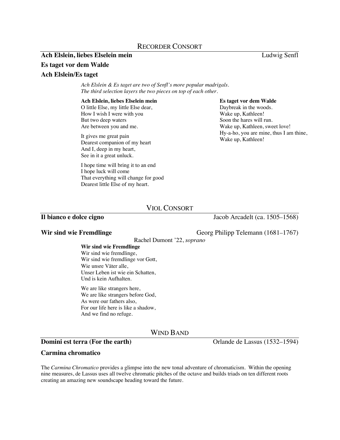# RECORDER CONSORT

### **Ach Elslein, liebes Elselein mein** Ludwig Senfl

### **Es taget vor dem Walde**

### **Ach Elslein/Es taget**

*Ach Elslein & Es taget are two of Senfl's more popular madrigals. The third selection layers the two pieces on top of each other.*

### **Ach Elslein, liebes Elselein mein**

O little Else, my little Else dear, How I wish I were with you But two deep waters Are between you and me.

It gives me great pain Dearest companion of my heart And I, deep in my heart, See in it a great unluck.

I hope time will bring it to an end I hope luck will come That everything will change for good Dearest little Else of my heart.

### **Es taget vor dem Walde**

Daybreak in the woods. Wake up, Kathleen! Soon the hares will run. Wake up, Kathleen, sweet love! Hy-a-ho, you are mine, thus I am thine, Wake up, Kathleen!

# VIOL CONSORT

# **Il bianco e dolce cigno** Jacob Arcadelt (ca. 1505–1568)

**Wir sind wie Fremdlinge** Georg Philipp Telemann (1681–1767)

Rachel Dumont '22, *soprano*

**Wir sind wie Fremdlinge** Wir sind wie fremdlinge, Wir sind wie fremdlinge vor Gott, Wie unsre Väter alle, Unser Leben ist wie ein Schatten, Und is kein Aufhalten.

We are like strangers here, We are like strangers before God, As were our fathers also, For our life here is like a shadow, And we find no refuge.

WIND BAND

# **Domini est terra (For the earth)** Orlande de Lassus (1532–1594)

### **Carmina chromatico**

The *Carmina Chromatico* provides a glimpse into the new tonal adventure of chromaticism. Within the opening nine measures, de Lassus uses all twelve chromatic pitches of the octave and builds triads on ten different roots creating an amazing new soundscape heading toward the future.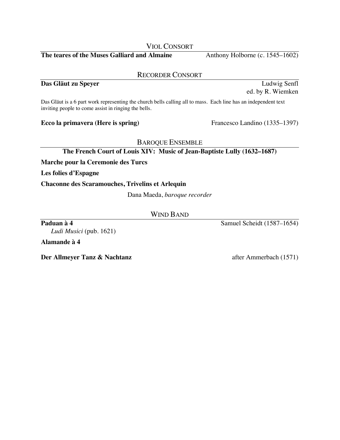VIOL CONSORT

**The teares of the Muses Galliard and Almaine** Anthony Holborne (c. 1545–1602)

## RECORDER CONSORT

# **Das Gläut zu Speyer** Ludwig Senfl

Das Gläut is a 6 part work representing the church bells calling all to mass. Each line has an independent text inviting people to come assist in ringing the bells.

# **Ecco la primavera (Here is spring)** Francesco Landino (1335–1397)

# BAROQUE ENSEMBLE

# **The French Court of Louis XIV: Music of Jean-Baptiste Lully (1632–1687)**

**Marche pour la Ceremonie des Turcs**

**Les folies d'Espagne**

## **Chaconne des Scaramouches, Trivelins et Arlequin**

Dana Maeda, *baroque recorder*

## WIND BAND

**Paduan à 4** Samuel Scheidt (1587–1654)

*Ludi Musici* (pub. 1621)

**Alamande à 4**

**Der Allmeyer Tanz & Nachtanz** after Ammerbach (1571)

ed. by R. Wiemken